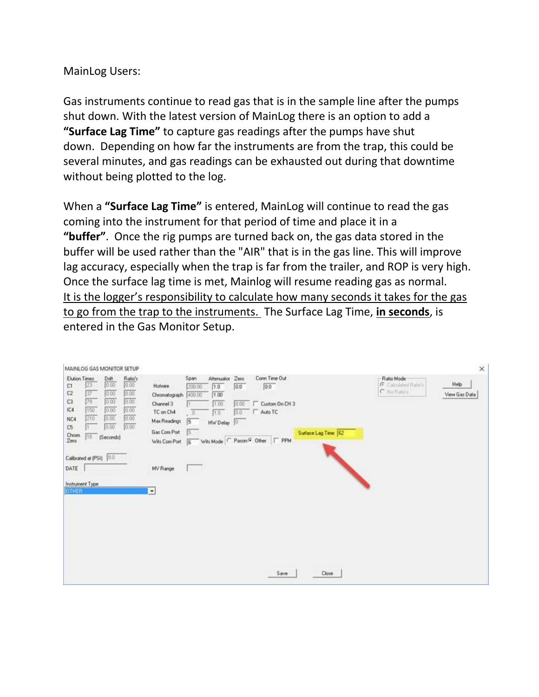## MainLog Users:

Gas instruments continue to read gas that is in the sample line after the pumps shut down. With the latest version of MainLog there is an option to add a **"Surface Lag Time"** to capture gas readings after the pumps have shut down. Depending on how far the instruments are from the trap, this could be several minutes, and gas readings can be exhausted out during that downtime without being plotted to the log.

When a **"Surface Lag Time"** is entered, MainLog will continue to read the gas coming into the instrument for that period of time and place it in a **"buffer"**. Once the rig pumps are turned back on, the gas data stored in the buffer will be used rather than the "AIR" that is in the gas line. This will improve lag accuracy, especially when the trap is far from the trailer, and ROP is very high. Once the surface lag time is met, Mainlog will resume reading gas as normal. It is the logger's responsibility to calculate how many seconds it takes for the gas to go from the trap to the instruments. The Surface Lag Time, **in seconds**, is entered in the Gas Monitor Setup.

| MAINLOG GAS MONITOR SETUP                                                                                                                                                                                                                                                    |                                                                                                                                                                                                                                                                                                                                                                             | $\times$                                                                      |
|------------------------------------------------------------------------------------------------------------------------------------------------------------------------------------------------------------------------------------------------------------------------------|-----------------------------------------------------------------------------------------------------------------------------------------------------------------------------------------------------------------------------------------------------------------------------------------------------------------------------------------------------------------------------|-------------------------------------------------------------------------------|
| Elution Times<br>$rac{Ratio's}{ 0.00 }$<br>$\frac{\text{Delt}}{\left 0.00\right }$<br>23<br>C1<br>37<br>0.00<br>0.00<br>C2<br>0.00<br>0.00<br>C3<br>79<br>0.00<br>0.00<br>150<br>IC4<br>210<br>0.00<br>0.00<br>NC4<br>0.00<br>0.00<br>C5<br>Chrom<br>18<br>(Seconds)<br>Zero | Conn Time Out<br>Span<br>Alteriuator<br>Zero<br>Holwine<br>0.0<br>0.0<br>200.00<br>1.0<br>Chromatograph 400.00<br>1.00<br>1.00<br>Channel 3<br>г<br>Custom On CH 3<br>0.00<br>n<br>TC on Ch4<br>1.0<br>Auto TC<br>10.0<br>o<br>信<br>Max Readings<br>HW Delay<br> 0 <br>Gas Com Port<br>Surface Lag Time 62<br>15<br>Wits Mode   Pason C Other   F PPM<br>Wits Com Port<br>信 | Ratio Mode<br>Help<br>G. Calculated Flatio's<br>C No Ratio's<br>View Gas Data |
| Calibrated at (PSI) 00<br>DATE<br>Instrument Type<br><b>OTHER</b>                                                                                                                                                                                                            | MV Range<br><b>COL</b><br>ᆋ                                                                                                                                                                                                                                                                                                                                                 |                                                                               |
|                                                                                                                                                                                                                                                                              | Save<br>Close                                                                                                                                                                                                                                                                                                                                                               |                                                                               |